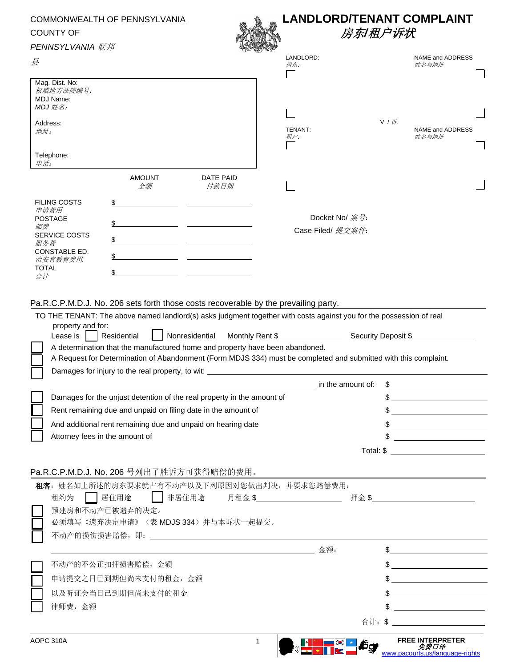| COMMONWEALTH OF PENNSYLVANIA<br><b>COUNTY OF</b> |                                                                                                                                                                                                                                                                                                                                                                                                                                                                                                                                                                                                    |                                                                   |                   | <b>LANDLORD/TENANT COMPLAINT</b><br>房东/租户诉状  |                                          |                                                                                                                                                                                                                               |  |
|--------------------------------------------------|----------------------------------------------------------------------------------------------------------------------------------------------------------------------------------------------------------------------------------------------------------------------------------------------------------------------------------------------------------------------------------------------------------------------------------------------------------------------------------------------------------------------------------------------------------------------------------------------------|-------------------------------------------------------------------|-------------------|----------------------------------------------|------------------------------------------|-------------------------------------------------------------------------------------------------------------------------------------------------------------------------------------------------------------------------------|--|
|                                                  |                                                                                                                                                                                                                                                                                                                                                                                                                                                                                                                                                                                                    |                                                                   |                   |                                              |                                          |                                                                                                                                                                                                                               |  |
| 县                                                |                                                                                                                                                                                                                                                                                                                                                                                                                                                                                                                                                                                                    |                                                                   |                   | LANDLORD:<br>房东:                             |                                          | NAME and ADDRESS<br>姓名与地址                                                                                                                                                                                                     |  |
| MDJ Name:<br>MDJ 姓名:                             | Mag. Dist. No:<br>权威地方法院编号:                                                                                                                                                                                                                                                                                                                                                                                                                                                                                                                                                                        |                                                                   |                   |                                              |                                          |                                                                                                                                                                                                                               |  |
| Address:<br>地址:                                  |                                                                                                                                                                                                                                                                                                                                                                                                                                                                                                                                                                                                    |                                                                   |                   | TENANT:<br>租户:                               |                                          | $V / \sqrt{F}$<br>NAME and ADDRESS<br>姓名与地址                                                                                                                                                                                   |  |
| Telephone:<br>电话:                                |                                                                                                                                                                                                                                                                                                                                                                                                                                                                                                                                                                                                    |                                                                   |                   |                                              |                                          |                                                                                                                                                                                                                               |  |
|                                                  |                                                                                                                                                                                                                                                                                                                                                                                                                                                                                                                                                                                                    | <b>AMOUNT</b><br>金额                                               | DATE PAID<br>付款日期 |                                              |                                          |                                                                                                                                                                                                                               |  |
| <b>FILING COSTS</b><br>申请费用                      |                                                                                                                                                                                                                                                                                                                                                                                                                                                                                                                                                                                                    |                                                                   |                   |                                              |                                          |                                                                                                                                                                                                                               |  |
| <b>POSTAGE</b>                                   |                                                                                                                                                                                                                                                                                                                                                                                                                                                                                                                                                                                                    |                                                                   |                   |                                              | Docket No/ $~\mathcal{\tilde{R}}$ 号:     |                                                                                                                                                                                                                               |  |
| 邮费<br><b>SERVICE COSTS</b>                       |                                                                                                                                                                                                                                                                                                                                                                                                                                                                                                                                                                                                    |                                                                   |                   | Case Filed/ 提交案件:                            |                                          |                                                                                                                                                                                                                               |  |
| 服务费<br>CONSTABLE ED.<br>治安官教育费用.<br><b>TOTAL</b> |                                                                                                                                                                                                                                                                                                                                                                                                                                                                                                                                                                                                    |                                                                   |                   |                                              |                                          |                                                                                                                                                                                                                               |  |
|                                                  |                                                                                                                                                                                                                                                                                                                                                                                                                                                                                                                                                                                                    |                                                                   |                   |                                              |                                          |                                                                                                                                                                                                                               |  |
| 合计                                               |                                                                                                                                                                                                                                                                                                                                                                                                                                                                                                                                                                                                    | \$                                                                |                   |                                              |                                          |                                                                                                                                                                                                                               |  |
|                                                  | property and for:<br>Residential<br>Nonresidential<br>Lease is<br>A determination that the manufactured home and property have been abandoned.<br>A Request for Determination of Abandonment (Form MDJS 334) must be completed and submitted with this complaint.<br>Damages for injury to the real property, to wit: _______________________________<br>Damages for the unjust detention of the real property in the amount of<br>Rent remaining due and unpaid on filing date in the amount of<br>And additional rent remaining due and unpaid on hearing date<br>Attorney fees in the amount of |                                                                   |                   | Monthly Rent \$                              | Security Deposit \$<br>in the amount of: | \$<br><u> 1989 - Johann Stoff, Amerikaansk konst</u>                                                                                                                                                                          |  |
|                                                  |                                                                                                                                                                                                                                                                                                                                                                                                                                                                                                                                                                                                    | Pa.R.C.P.M.D.J. No. 206 号列出了胜诉方可获得赔偿的费用。                          |                   |                                              |                                          |                                                                                                                                                                                                                               |  |
|                                                  | 居住用途<br>租约为                                                                                                                                                                                                                                                                                                                                                                                                                                                                                                                                                                                        | ■■非居住用途<br>预建房和不动产已被遗弃的决定。<br>必须填写《遗弃决定申请》(表 MDJS 334) 并与本诉状一起提交。 |                   | 租客: 姓名如上所述的房东要求就占有不动产以及下列原因对您做出判决, 并要求您赔偿费用: |                                          |                                                                                                                                                                                                                               |  |
|                                                  |                                                                                                                                                                                                                                                                                                                                                                                                                                                                                                                                                                                                    |                                                                   |                   | 金额:                                          |                                          | $\frac{1}{2}$                                                                                                                                                                                                                 |  |
|                                                  |                                                                                                                                                                                                                                                                                                                                                                                                                                                                                                                                                                                                    | 不动产的不公正扣押损害赔偿, 金额                                                 |                   |                                              |                                          |                                                                                                                                                                                                                               |  |
|                                                  |                                                                                                                                                                                                                                                                                                                                                                                                                                                                                                                                                                                                    | 申请提交之日已到期但尚未支付的租金,金额                                              |                   |                                              |                                          | \$                                                                                                                                                                                                                            |  |
|                                                  |                                                                                                                                                                                                                                                                                                                                                                                                                                                                                                                                                                                                    | 以及听证会当日已到期但尚未支付的租金                                                |                   |                                              |                                          |                                                                                                                                                                                                                               |  |
|                                                  | 律师费,金额                                                                                                                                                                                                                                                                                                                                                                                                                                                                                                                                                                                             |                                                                   |                   |                                              |                                          | the control of the control of the control of the control of the control of the control of the control of the control of the control of the control of the control of the control of the control of the control of the control |  |
|                                                  |                                                                                                                                                                                                                                                                                                                                                                                                                                                                                                                                                                                                    |                                                                   |                   |                                              |                                          |                                                                                                                                                                                                                               |  |
| AOPC 310A                                        |                                                                                                                                                                                                                                                                                                                                                                                                                                                                                                                                                                                                    |                                                                   |                   | $\mathbf{1}$                                 | lôg                                      | <b>FREE INTERPRETER</b><br>免费口译<br>www.pacourts.us/language-rights                                                                                                                                                            |  |